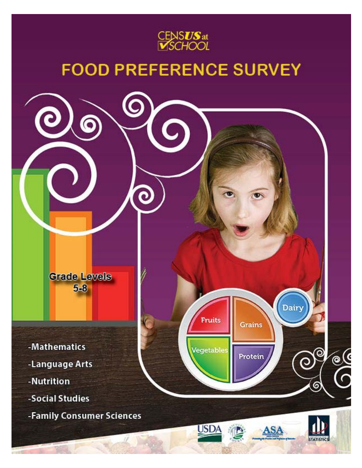

# **FOOD PREFERENCE SURVEY**

Fruits

**Vegetables** 

USDA

**Grains** 

Protein

Dairy

ම

 $\mathcal{G}$ 

**STATISTICS** 

**Grade Levels**  $5 - 8$ 

-Mathematics -Language Arts -Nutrition -Social Studies -Family Consumer Sciences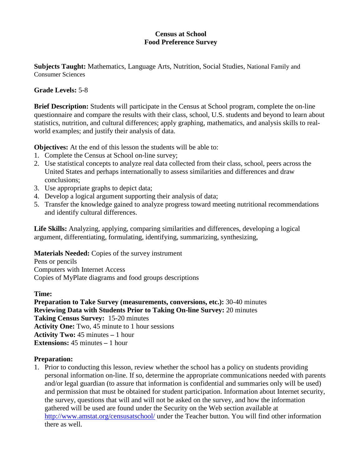#### **Census at School Food Preference Survey**

**Subjects Taught:** Mathematics, Language Arts, Nutrition, Social Studies, National Family and Consumer Sciences

#### **Grade Levels:** 5-8

**Brief Description:** Students will participate in the Census at School program, complete the on-line questionnaire and compare the results with their class, school, U.S. students and beyond to learn about statistics, nutrition, and cultural differences; apply graphing, mathematics, and analysis skills to realworld examples; and justify their analysis of data.

**Objectives:** At the end of this lesson the students will be able to:

- 1. Complete the Census at School on-line survey;
- 2. Use statistical concepts to analyze real data collected from their class, school, peers across the United States and perhaps internationally to assess similarities and differences and draw conclusions;
- 3. Use appropriate graphs to depict data;
- 4. Develop a logical argument supporting their analysis of data;
- 5. Transfer the knowledge gained to analyze progress toward meeting nutritional recommendations and identify cultural differences.

**Life Skills:** Analyzing, applying, comparing similarities and differences, developing a logical argument, differentiating, formulating, identifying, summarizing, synthesizing,

**Materials Needed:** Copies of the survey instrument

Pens or pencils Computers with Internet Access Copies of MyPlate diagrams and food groups descriptions

**Time:**

**Preparation to Take Survey (measurements, conversions, etc.):** 30-40 minutes **Reviewing Data with Students Prior to Taking On-line Survey:** 20 minutes **Taking Census Survey:** 15-20 minutes **Activity One:** Two, 45 minute to 1 hour sessions **Activity Two:** 45 minutes **–** 1 hour **Extensions:** 45 minutes **–** 1 hour

#### **Preparation:**

1. Prior to conducting this lesson, review whether the school has a policy on students providing personal information on-line. If so, determine the appropriate communications needed with parents and/or legal guardian (to assure that information is confidential and summaries only will be used) and permission that must be obtained for student participation. Information about Internet security, the survey, questions that will and will not be asked on the survey, and how the information gathered will be used are found under the Security on the Web section available at <http://www.amstat.org/censusatschool/> under the Teacher button. You will find other information there as well.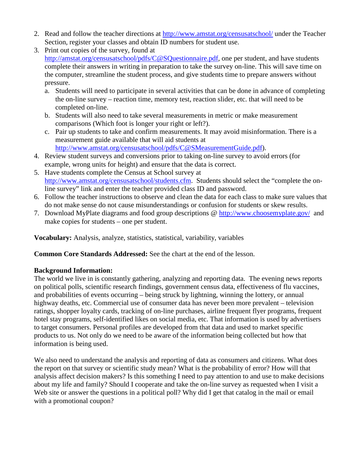- 2. Read and follow the teacher directions at<http://www.amstat.org/censusatschool/> under the Teacher Section, register your classes and obtain ID numbers for student use.
- 3. Print out copies of the survey, found at [http://amstat.org/censusatschool/pdfs/C@SQuestionnaire.pdf,](http://amstat.org/censusatschool/pdfs/C@SQuestionnaire.pdf) one per student, and have students complete their answers in writing in preparation to take the survey on-line. This will save time on the computer, streamline the student process, and give students time to prepare answers without pressure.
	- a. Students will need to participate in several activities that can be done in advance of completing the on-line survey – reaction time, memory test, reaction slider, etc. that will need to be completed on-line.
	- b. Students will also need to take several measurements in metric or make measurement comparisons (Which foot is longer your right or left?).
	- c. Pair up students to take and confirm measurements. It may avoid misinformation. There is a measurement guide available that will aid students at [http://www.amstat.org/censusatschool/pdfs/C@SMeasurementGuide.pdf\)](http://www.amstat.org/censusatschool/pdfs/C@SMeasurementGuide.pdf).
- 4. Review student surveys and conversions prior to taking on-line survey to avoid errors (for example, wrong units for height) and ensure that the data is correct.
- 5. Have students complete the Census at School survey at [http://www.amstat.org/censusatschool/students.cfm.](http://www.amstat.org/censusatschool/students.cfm) Students should select the "complete the online survey" link and enter the teacher provided class ID and password.
- 6. Follow the teacher instructions to observe and clean the data for each class to make sure values that do not make sense do not cause misunderstandings or confusion for students or skew results.
- 7. Download MyPlate diagrams and food group descriptions @<http://www.choosemyplate.gov/> and make copies for students – one per student.

**Vocabulary:** Analysis, analyze, statistics, statistical, variability, variables

**Common Core Standards Addressed:** See the chart at the end of the lesson.

#### **Background Information:**

The world we live in is constantly gathering, analyzing and reporting data. The evening news reports on political polls, scientific research findings, government census data, effectiveness of flu vaccines, and probabilities of events occurring – being struck by lightning, winning the lottery, or annual highway deaths, etc. Commercial use of consumer data has never been more prevalent – television ratings, shopper loyalty cards, tracking of on-line purchases, airline frequent flyer programs, frequent hotel stay programs, self-identified likes on social media, etc. That information is used by advertisers to target consumers. Personal profiles are developed from that data and used to market specific products to us. Not only do we need to be aware of the information being collected but how that information is being used.

We also need to understand the analysis and reporting of data as consumers and citizens. What does the report on that survey or scientific study mean? What is the probability of error? How will that analysis affect decision makers? Is this something I need to pay attention to and use to make decisions about my life and family? Should I cooperate and take the on-line survey as requested when I visit a Web site or answer the questions in a political poll? Why did I get that catalog in the mail or email with a promotional coupon?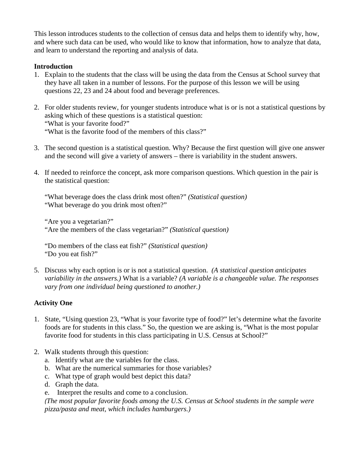This lesson introduces students to the collection of census data and helps them to identify why, how, and where such data can be used, who would like to know that information, how to analyze that data, and learn to understand the reporting and analysis of data.

### **Introduction**

- 1. Explain to the students that the class will be using the data from the Census at School survey that they have all taken in a number of lessons. For the purpose of this lesson we will be using questions 22, 23 and 24 about food and beverage preferences.
- 2. For older students review, for younger students introduce what is or is not a statistical questions by asking which of these questions is a statistical question: "What is your favorite food?" "What is the favorite food of the members of this class?"
- 3. The second question is a statistical question. Why? Because the first question will give one answer and the second will give a variety of answers – there is variability in the student answers.
- 4. If needed to reinforce the concept, ask more comparison questions. Which question in the pair is the statistical question:

"What beverage does the class drink most often?" *(Statistical question)* "What beverage do you drink most often?"

"Are you a vegetarian?" "Are the members of the class vegetarian?" *(Statistical question)*

"Do members of the class eat fish?" *(Statistical question)* "Do you eat fish?"

5. Discuss why each option is or is not a statistical question. *(A statistical question anticipates variability in the answers.)* What is a variable? *(A variable is a changeable value. The responses vary from one individual being questioned to another.)*

#### **Activity One**

- 1. State, "Using question 23, "What is your favorite type of food?" let's determine what the favorite foods are for students in this class." So, the question we are asking is, "What is the most popular favorite food for students in this class participating in U.S. Census at School?"
- 2. Walk students through this question:
	- a. Identify what are the variables for the class.
	- b. What are the numerical summaries for those variables?
	- c. What type of graph would best depict this data?
	- d. Graph the data.
	- e. Interpret the results and come to a conclusion.

*(The most popular favorite foods among the U.S. Census at School students in the sample were pizza/pasta and meat, which includes hamburgers.)*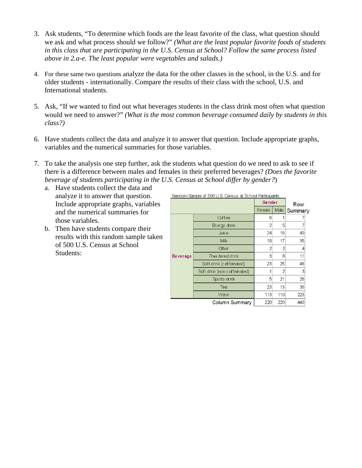- 3. Ask students, "To determine which foods are the least favorite of the class, what question should we ask and what process should we follow?" *(What are the least popular favorite foods of students in this class that are participating in the U.S. Census at School? Follow the same process listed above in 2.a-e. The least popular were vegetables and salads.)*
- 4. For these same two questions analyze the data for the other classes in the school, in the U.S. and for older students - internationally. Compare the results of their class with the school, U.S. and International students.
- 5. Ask, "If we wanted to find out what beverages students in the class drink most often what question would we need to answer?" *(What is the most common beverage consumed daily by students in this class?)*
- 6. Have students collect the data and analyze it to answer that question. Include appropriate graphs, variables and the numerical summaries for those variables.
- 7. To take the analysis one step further, ask the students what question do we need to ask to see if there is a difference between males and females in their preferred beverages? *(Does the favorite beverage of students participating in the U.S. Census at School differ by gender?*)
	- a. Have students collect the data and analyze it to answer that question. Include appropriate graphs, variables and the numerical summaries for those variables.
	- b. Then have students compare their results with this random sample taken of 500 U.S. Census at School Students:

| Random Sample of 500 U.S. Census at School Participants |                              |        |                |         |  |
|---------------------------------------------------------|------------------------------|--------|----------------|---------|--|
|                                                         |                              | Gender |                | Row     |  |
|                                                         |                              | Female | Male           | Summary |  |
|                                                         | Coffee                       | 6      |                |         |  |
| Be verage                                               | Energy drink                 | 2      | 5              |         |  |
|                                                         | Juice                        | 24     | 16             | 40      |  |
|                                                         | Mlk                          | 18     | 17             | 35      |  |
|                                                         | Other                        | 2      | $\overline{2}$ | 4       |  |
|                                                         | Pow dered drink              | 3      | 8              | 11      |  |
|                                                         | Soft drink (caffeinated)     | 23     | 25             | 48      |  |
|                                                         | Soft drink (non-caffeinated) | 1      | $\mathfrak{D}$ | 3       |  |
|                                                         | Sports drink                 | 5      | 21             | 26      |  |
|                                                         | Tea                          | 23     | 13             | 36      |  |
|                                                         | Water                        | 113    | 110            | 223     |  |
|                                                         | Column Summary               | 220    | 220            | 440     |  |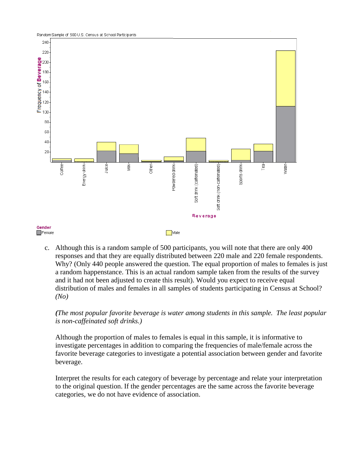

c. Although this is a random sample of 500 participants, you will note that there are only 400 responses and that they are equally distributed between 220 male and 220 female respondents. Why? (Only 440 people answered the question. The equal proportion of males to females is just a random happenstance. This is an actual random sample taken from the results of the survey and it had not been adjusted to create this result). Would you expect to receive equal distribution of males and females in all samples of students participating in Census at School? *(No)*

#### *(The most popular favorite beverage is water among students in this sample. The least popular is non-caffeinated soft drinks.)*

Although the proportion of males to females is equal in this sample, it is informative to investigate percentages in addition to comparing the frequencies of male/female across the favorite beverage categories to investigate a potential association between gender and favorite beverage.

Interpret the results for each category of beverage by percentage and relate your interpretation to the original question. If the gender percentages are the same across the favorite beverage categories, we do not have evidence of association.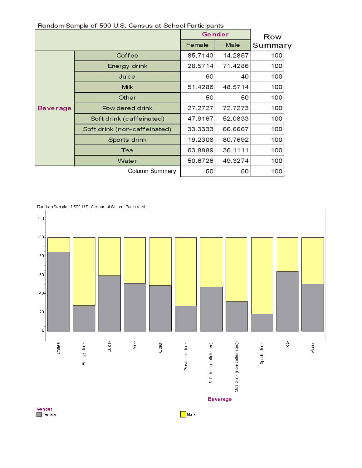| rangoni Sanipie or 500 0.3. Census at School Farticipants |                              |               |         |         |
|-----------------------------------------------------------|------------------------------|---------------|---------|---------|
|                                                           |                              | <b>Gender</b> | Row     |         |
|                                                           |                              | Female        | Male    | Summary |
|                                                           | Coffee                       | 85.7143       | 14.2857 | 100     |
| <b>Beverage</b>                                           | <b>Energy drink</b>          | 28.5714       | 71.4286 | 100     |
|                                                           | Juice                        | 60            | 40      | 100     |
|                                                           | <b>Milk</b>                  | 51.4286       | 48.5714 | 100     |
|                                                           | Other                        | 50            | 50      | 100     |
|                                                           | Pow dered drink              | 27.2727       | 72.7273 | 100     |
|                                                           | Soft drink (caffeinated)     | 47.9167       | 52.0833 | 100     |
|                                                           | Soft drink (non-caffeinated) | 33.3333       | 66.6667 | 100     |
|                                                           | Sports drink                 | 19.2308       | 80.7692 | 100     |
|                                                           | Tea                          | 63.8889       | 36.1111 | 100     |
|                                                           | Water                        | 50.6726       | 49.3274 | 100     |
|                                                           | Column Summary               | 50            | 50      | 100     |

Random Sample of 500 U.S. Census at School Participants



Male

Gender<br>EFemale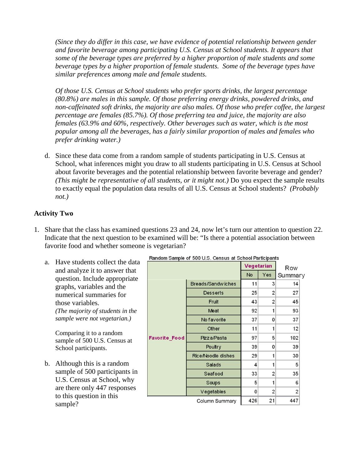*(Since they do differ in this case, we have evidence of potential relationship between gender and favorite beverage among participating U.S. Census at School students. It appears that some of the beverage types are preferred by a higher proportion of male students and some beverage types by a higher proportion of female students. Some of the beverage types have similar preferences among male and female students.*

*Of those U.S. Census at School students who prefer sports drinks, the largest percentage (80.8%) are males in this sample. Of those preferring energy drinks, powdered drinks, and non-caffeinated soft drinks, the majority are also males. Of those who prefer coffee, the largest percentage are females (85.7%). Of those preferring tea and juice, the majority are also females (63.9% and 60%, respectively. Other beverages such as water, which is the most popular among all the beverages, has a fairly similar proportion of males and females who prefer drinking water.)* 

d. Since these data come from a random sample of students participating in U.S. Census at School, what inferences might you draw to all students participating in U.S. Census at School about favorite beverages and the potential relationship between favorite beverage and gender? *(This might be representative of all students, or it might not.)* Do you expect the sample results to exactly equal the population data results of all U.S. Census at School students? *(Probably not.)*

#### **Activity Two**

1. Share that the class has examined questions 23 and 24, now let's turn our attention to question 22. Indicate that the next question to be examined will be: "Is there a potential association between favorite food and whether someone is vegetarian?

|                                      |                                                            |                      | Random Sample of 500 U.S. Census at School Participants |            |                |                |
|--------------------------------------|------------------------------------------------------------|----------------------|---------------------------------------------------------|------------|----------------|----------------|
| Have students collect the data<br>a. |                                                            |                      |                                                         | Vegetarian |                | Row            |
|                                      | and analyze it to answer that                              |                      |                                                         | No         | Yes            | Summary        |
|                                      | question. Include appropriate<br>graphs, variables and the |                      | <b>Breads/Sandwiches</b>                                | 11         | 3              | 14             |
|                                      | numerical summaries for                                    |                      | <b>Desserts</b>                                         | 25         | $\overline{c}$ | 27             |
|                                      | those variables.                                           |                      | Fruit                                                   | 43         | $\overline{2}$ | 45             |
|                                      | (The majority of students in the                           |                      | Meat                                                    | 92         |                | 93             |
|                                      | sample were not vegetarian.)                               |                      | No favorite                                             | 37         | 0              | 37             |
|                                      |                                                            |                      | Other                                                   | 11         |                | 12             |
|                                      | Comparing it to a random<br>sample of 500 U.S. Census at   | <b>Favorite_Food</b> | Pizza/Pasta                                             | 97         | 5              | 102            |
| School participants.                 |                                                            | Poultry              | 39                                                      | 0          | 39             |                |
|                                      |                                                            |                      | Rice/Noodle dishes                                      | 29         |                | 30             |
| $\mathbf{b}$ .                       | Although this is a random                                  |                      | <b>Salads</b>                                           | 4          |                | 5              |
|                                      | sample of 500 participants in                              |                      | Seafood                                                 | 33         | $\overline{2}$ | 35             |
|                                      | U.S. Census at School, why                                 |                      | Soups                                                   | 5          |                | 6              |
|                                      | are there only 447 responses                               |                      | Vegetables                                              | 0          | $\overline{2}$ | $\overline{2}$ |
|                                      | to this question in this<br>sample?                        |                      | <b>Column Summary</b>                                   | 426        | 21             | 447            |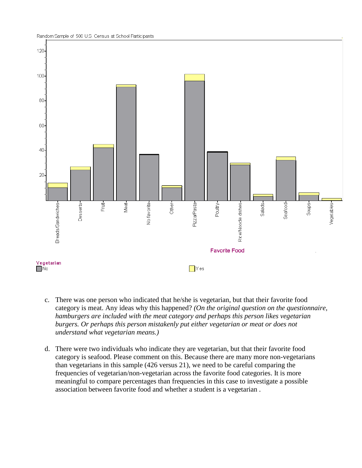

- c. There was one person who indicated that he/she is vegetarian, but that their favorite food category is meat. Any ideas why this happened? *(On the original question on the questionnaire, hamburgers are included with the meat category and perhaps this person likes vegetarian burgers. Or perhaps this person mistakenly put either vegetarian or meat or does not understand what vegetarian means.)*
- d. There were two individuals who indicate they are vegetarian, but that their favorite food category is seafood. Please comment on this. Because there are many more non-vegetarians than vegetarians in this sample (426 versus 21), we need to be careful comparing the frequencies of vegetarian/non-vegetarian across the favorite food categories. It is more meaningful to compare percentages than frequencies in this case to investigate a possible association between favorite food and whether a student is a vegetarian .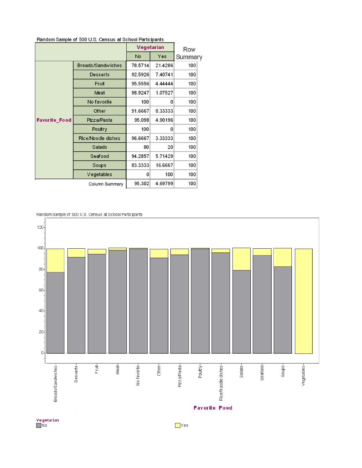#### Random Sample of 500 U.S. Census at School Participants

|                      |                          | Vegetarian |         | Row     |
|----------------------|--------------------------|------------|---------|---------|
|                      |                          | No         | Yes     | Summary |
|                      | <b>Breads/Sandwiches</b> | 78.5714    | 21.4286 | 100     |
|                      | <b>Desserts</b>          | 92.5926    | 7.40741 | 100     |
|                      | Fruit                    | 95.5556    | 4.44444 | 100     |
|                      | Meat                     | 98.9247    | 1.07527 | 100     |
|                      | No favorite              | 100        | 0       | 100     |
|                      | Other                    | 91.6667    | 8.33333 | 100     |
| <b>Favorite Food</b> | Pizza/Pasta              | 95.098     | 4.90196 | 100     |
|                      | Poultry                  | 100        | 0       | 100     |
|                      | Rice/Noodle dishes       | 96.6667    | 3.33333 | 100     |
|                      | <b>Salads</b>            | 80         | 20      | 100     |
|                      | Seafood                  | 94.2857    | 5.71429 | 100     |
|                      | Soups                    | 83.3333    | 16.6667 | 100     |
|                      | Vegetables               | 0          | 100     | 100     |
|                      | <b>Column Summary</b>    | 95.302     | 4.69799 | 100     |

Random Sample of 500 U.S. Census at School Participants



getarian in the contract of the contract of the contract of the contract of the contract of the contract of the contract of the contract of the contract of the contract of the contract of the contract of the contract of th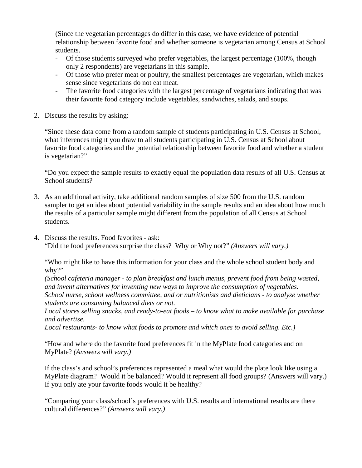(Since the vegetarian percentages do differ in this case, we have evidence of potential relationship between favorite food and whether someone is vegetarian among Census at School students.

- Of those students surveyed who prefer vegetables, the largest percentage (100%, though only 2 respondents) are vegetarians in this sample.
- Of those who prefer meat or poultry, the smallest percentages are vegetarian, which makes sense since vegetarians do not eat meat.
- The favorite food categories with the largest percentage of vegetarians indicating that was their favorite food category include vegetables, sandwiches, salads, and soups.
- 2. Discuss the results by asking:

"Since these data come from a random sample of students participating in U.S. Census at School, what inferences might you draw to all students participating in U.S. Census at School about favorite food categories and the potential relationship between favorite food and whether a student is vegetarian?"

"Do you expect the sample results to exactly equal the population data results of all U.S. Census at School students?

- 3. As an additional activity, take additional random samples of size 500 from the U.S. random sampler to get an idea about potential variability in the sample results and an idea about how much the results of a particular sample might different from the population of all Census at School students.
- 4. Discuss the results. Food favorites ask: "Did the food preferences surprise the class? Why or Why not?" *(Answers will vary.)*

"Who might like to have this information for your class and the whole school student body and why?"

*(School cafeteria manager - to plan breakfast and lunch menus, prevent food from being wasted, and invent alternatives for inventing new ways to improve the consumption of vegetables. School nurse, school wellness committee, and or nutritionists and dieticians - to analyze whether students are consuming balanced diets or not.* 

*Local stores selling snacks, and ready-to-eat foods – to know what to make available for purchase and advertise.*

*Local restaurants- to know what foods to promote and which ones to avoid selling. Etc.)*

"How and where do the favorite food preferences fit in the MyPlate food categories and on MyPlate? *(Answers will vary.)*

If the class's and school's preferences represented a meal what would the plate look like using a MyPlate diagram? Would it be balanced? Would it represent all food groups? (Answers will vary.) If you only ate your favorite foods would it be healthy?

"Comparing your class/school's preferences with U.S. results and international results are there cultural differences?" *(Answers will vary.)*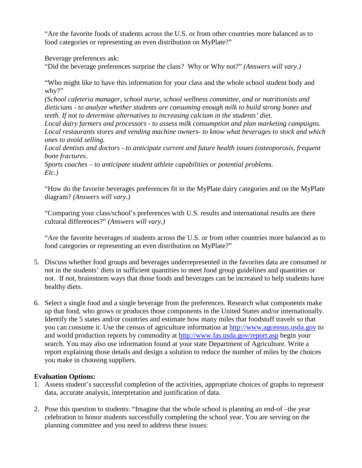"Are the favorite foods of students across the U.S. or from other countries more balanced as to food categories or representing an even distribution on MyPlate?"

Beverage preferences ask:

"Did the beverage preferences surprise the class? Why or Why not?" *(Answers will vary.)*

"Who might like to have this information for your class and the whole school student body and why?"

*(School cafeteria manager, school nurse, school wellness committee, and or nutritionists and dieticians - to analyze whether students are consuming enough milk to build strong bones and teeth. If not to determine alternatives to increasing calcium in the students' diet.* 

*Local dairy farmers and processors - to assess milk consumption and plan marketing campaigns. Local restaurants stores and vending machine owners- to know what beverages to stock and which ones to avoid selling.* 

*Local dentists and doctors - to anticipate current and future health issues (osteoporosis, frequent bone fractures.*

*Sports coaches – to anticipate student athlete capabilities or potential problems. Etc.)*

"How do the favorite beverages preferences fit in the MyPlate dairy categories and on the MyPlate diagram? *(Answers will vary.)*

"Comparing your class/school's preferences with U.S. results and international results are there cultural differences?" *(Answers will vary.)*

"Are the favorite beverages of students across the U.S. or from other countries more balanced as to food categories or representing an even distribution on MyPlate?"

- 5. Discuss whether food groups and beverages underrepresented in the favorites data are consumed or not in the students' diets in sufficient quantities to meet food group guidelines and quantities or not. If not, brainstorm ways that those foods and beverages can be increased to help students have healthy diets.
- 6. Select a single food and a single beverage from the preferences. Research what components make up that food, who grows or produces those components in the United States and/or internationally. Identify the 5 states and/or countries and estimate how many miles that foodstuff travels so that you can consume it. Use the census of agriculture information at [http://www.agcensus.usda.gov](http://www.agcensus.usda.gov/) to and world production reports by commodity at<http://www.fas.usda.gov/report.asp> begin your search. You may also use information found at your state Department of Agriculture. Write a report explaining those details and design a solution to reduce the number of miles by the choices you make in choosing suppliers.

## **Evaluation Options:**

- 1. Assess student's successful completion of the activities, appropriate choices of graphs to represent data, accurate analysis, interpretation and justification of data.
- 2. Pose this question to students: "Imagine that the whole school is planning an end-of –the year celebration to honor students successfully completing the school year. You are serving on the planning committee and you need to address these issues: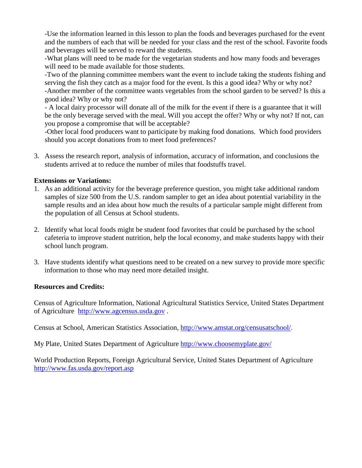-Use the information learned in this lesson to plan the foods and beverages purchased for the event and the numbers of each that will be needed for your class and the rest of the school. Favorite foods and beverages will be served to reward the students.

-What plans will need to be made for the vegetarian students and how many foods and beverages will need to be made available for those students.

-Two of the planning committee members want the event to include taking the students fishing and serving the fish they catch as a major food for the event. Is this a good idea? Why or why not? -Another member of the committee wants vegetables from the school garden to be served? Is this a good idea? Why or why not?

- A local dairy processor will donate all of the milk for the event if there is a guarantee that it will be the only beverage served with the meal. Will you accept the offer? Why or why not? If not, can you propose a compromise that will be acceptable?

-Other local food producers want to participate by making food donations. Which food providers should you accept donations from to meet food preferences?

3. Assess the research report, analysis of information, accuracy of information, and conclusions the students arrived at to reduce the number of miles that foodstuffs travel.

#### **Extensions or Variations:**

- 1. As an additional activity for the beverage preference question, you might take additional random samples of size 500 from the U.S. random sampler to get an idea about potential variability in the sample results and an idea about how much the results of a particular sample might different from the population of all Census at School students.
- 2. Identify what local foods might be student food favorites that could be purchased by the school cafeteria to improve student nutrition, help the local economy, and make students happy with their school lunch program.
- 3. Have students identify what questions need to be created on a new survey to provide more specific information to those who may need more detailed insight.

#### **Resources and Credits:**

Census of Agriculture Information, National Agricultural Statistics Service, United States Department of Agriculture [http://www.agcensus.usda.gov](http://www.agcensus.usda.gov/) .

Census at School, American Statistics Association,<http://www.amstat.org/censusatschool/>.

My Plate, United States Department of Agriculture<http://www.choosemyplate.gov/>

World Production Reports, Foreign Agricultural Service, United States Department of Agriculture <http://www.fas.usda.gov/report.asp>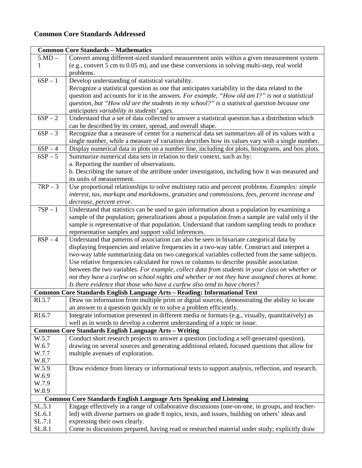# **Common Core Standards Addressed**

| <b>Common Core Standards - Mathematics</b>                   |                                                                                                   |  |  |  |
|--------------------------------------------------------------|---------------------------------------------------------------------------------------------------|--|--|--|
| $5.MD -$                                                     | Convert among different-sized standard measurement units within a given measurement system        |  |  |  |
| 1                                                            | (e.g., convert 5 cm to 0.05 m), and use these conversions in solving multi-step, real world       |  |  |  |
|                                                              | problems.                                                                                         |  |  |  |
| $6SP-1$                                                      | Develop understanding of statistical variability.                                                 |  |  |  |
|                                                              | Recognize a statistical question as one that anticipates variability in the data related to the   |  |  |  |
|                                                              | question and accounts for it in the answers. For example, "How old am I?" is not a statistical    |  |  |  |
|                                                              | question, but "How old are the students in my school?" is a statistical question because one      |  |  |  |
|                                                              | anticipates variability in students' ages.                                                        |  |  |  |
| $6SP-2$                                                      | Understand that a set of data collected to answer a statistical question has a distribution which |  |  |  |
|                                                              | can be described by its center, spread, and overall shape.                                        |  |  |  |
| $6SP-3$                                                      | Recognize that a measure of center for a numerical data set summarizes all of its values with a   |  |  |  |
|                                                              | single number, while a measure of variation describes how its values vary with a single number.   |  |  |  |
| $\overline{6}SP-4$                                           | Display numerical data in plots on a number line, including dot plots, histograms, and box plots. |  |  |  |
| $6SP - 5$                                                    | Summarize numerical data sets in relation to their context, such as by:                           |  |  |  |
|                                                              | a. Reporting the number of observations.                                                          |  |  |  |
|                                                              | b. Describing the nature of the attribute under investigation, including how it was measured and  |  |  |  |
|                                                              | its units of measurement.                                                                         |  |  |  |
| $7RP-3$                                                      | Use proportional relationships to solve multistep ratio and percent problems. Examples: simple    |  |  |  |
|                                                              | interest, tax, markups and markdowns, gratuities and commissions, fees, percent increase and      |  |  |  |
|                                                              | decrease, percent error.                                                                          |  |  |  |
| $7SP-1$                                                      | Understand that statistics can be used to gain information about a population by examining a      |  |  |  |
|                                                              | sample of the population; generalizations about a population from a sample are valid only if the  |  |  |  |
|                                                              | sample is representative of that population. Understand that random sampling tends to produce     |  |  |  |
|                                                              | representative samples and support valid inferences.                                              |  |  |  |
| $8SP-4$                                                      | Understand that patterns of association can also be seen in bivariate categorical data by         |  |  |  |
|                                                              | displaying frequencies and relative frequencies in a two-way table. Construct and interpret a     |  |  |  |
|                                                              | two-way table summarizing data on two categorical variables collected from the same subjects.     |  |  |  |
|                                                              | Use relative frequencies calculated for rows or columns to describe possible association          |  |  |  |
|                                                              | between the two variables. For example, collect data from students in your class on whether or    |  |  |  |
|                                                              | not they have a curfew on school nights and whether or not they have assigned chores at home.     |  |  |  |
|                                                              | Is there evidence that those who have a curfew also tend to have chores?                          |  |  |  |
|                                                              | Common Core Standards English Language Arts - Reading: Informational Text                         |  |  |  |
| RI.5.7                                                       | Draw on information from multiple print or digital sources, demonstrating the ability to locate   |  |  |  |
|                                                              | an answer to a question quickly or to solve a problem efficiently.                                |  |  |  |
| RI.6.7                                                       | Integrate information presented in different media or formats (e.g., visually, quantitatively) as |  |  |  |
|                                                              | well as in words to develop a coherent understanding of a topic or issue.                         |  |  |  |
| <b>Common Core Standards English Language Arts - Writing</b> |                                                                                                   |  |  |  |
| W.5.7                                                        | Conduct short research projects to answer a question (including a self-generated question),       |  |  |  |
| W.6.7                                                        | drawing on several sources and generating additional related, focused questions that allow for    |  |  |  |
| W.7.7                                                        | multiple avenues of exploration.                                                                  |  |  |  |
| W.8.7                                                        |                                                                                                   |  |  |  |
| W.5.9                                                        | Draw evidence from literary or informational texts to support analysis, reflection, and research. |  |  |  |
| W.6.9                                                        |                                                                                                   |  |  |  |
| W.7.9                                                        |                                                                                                   |  |  |  |
| W.8.9                                                        |                                                                                                   |  |  |  |
|                                                              | <b>Common Core Standards English Language Arts Speaking and Listening</b>                         |  |  |  |
| SL.5.1                                                       | Engage effectively in a range of collaborative discussions (one-on-one, in groups, and teacher-   |  |  |  |
| SL.6.1                                                       | led) with diverse partners on grade 8 topics, texts, and issues, building on others' ideas and    |  |  |  |
| SL.7.1                                                       | expressing their own clearly.                                                                     |  |  |  |
| SL.8.1                                                       | Come to discussions prepared, having read or researched material under study; explicitly draw     |  |  |  |